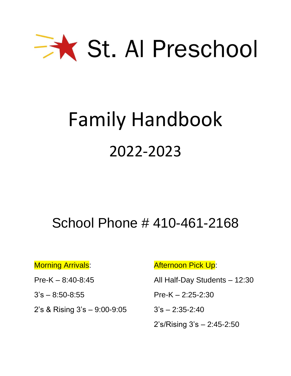

## Family Handbook 2022-2023

## School Phone # 410-461-2168

2's & Rising 3's – 9:00-9:05 3's – 2:35-2:40

Morning Arrivals: Afternoon Pick Up:

Pre-K – 8:40-8:45 All Half-Day Students – 12:30

 $3's - 8:50 - 8:55$  Pre-K – 2:25-2:30

2's/Rising 3's – 2:45-2:50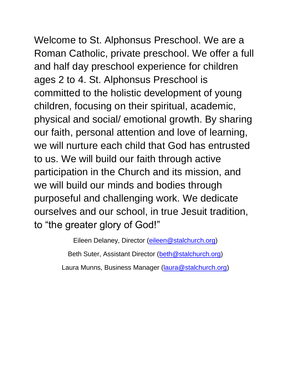Welcome to St. Alphonsus Preschool. We are a Roman Catholic, private preschool. We offer a full and half day preschool experience for children ages 2 to 4. St. Alphonsus Preschool is committed to the holistic development of young children, focusing on their spiritual, academic, physical and social/ emotional growth. By sharing our faith, personal attention and love of learning, we will nurture each child that God has entrusted to us. We will build our faith through active participation in the Church and its mission, and we will build our minds and bodies through purposeful and challenging work. We dedicate ourselves and our school, in true Jesuit tradition,

to "the greater glory of God!"

Eileen Delaney, Director [\(eileen@stalchurch.org\)](mailto:eileen@stalchurch.org)

Beth Suter, Assistant Director [\(beth@stalchurch.org\)](mailto:beth@stalchurch.org)

Laura Munns, Business Manager [\(laura@stalchurch.org\)](mailto:laura@stalchurch.org)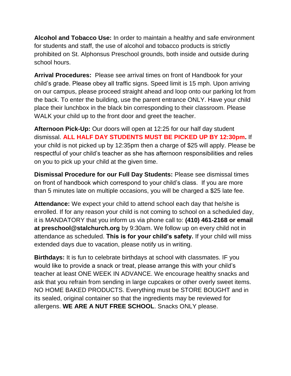**Alcohol and Tobacco Use:** In order to maintain a healthy and safe environment for students and staff, the use of alcohol and tobacco products is strictly prohibited on St. Alphonsus Preschool grounds, both inside and outside during school hours.

**Arrival Procedures:** Please see arrival times on front of Handbook for your child's grade. Please obey all traffic signs. Speed limit is 15 mph. Upon arriving on our campus, please proceed straight ahead and loop onto our parking lot from the back. To enter the building, use the parent entrance ONLY. Have your child place their lunchbox in the black bin corresponding to their classroom. Please WALK your child up to the front door and greet the teacher.

**Afternoon Pick-Up:** Our doors will open at 12:25 for our half day student dismissal. **ALL HALF DAY STUDENTS MUST BE PICKED UP BY 12:30pm.** If your child is not picked up by 12:35pm then a charge of \$25 will apply. Please be respectful of your child's teacher as she has afternoon responsibilities and relies on you to pick up your child at the given time.

**Dismissal Procedure for our Full Day Students:** Please see dismissal times on front of handbook which correspond to your child's class. If you are more than 5 minutes late on multiple occasions, you will be charged a \$25 late fee.

**Attendance:** We expect your child to attend school each day that he/she is enrolled. If for any reason your child is not coming to school on a scheduled day, it is MANDATORY that you inform us via phone call to: **(410) 461-2168 or email at preschool@stalchurch.org** by 9:30am. We follow up on every child not in attendance as scheduled. **This is for your child's safety.** If your child will miss extended days due to vacation, please notify us in writing.

**Birthdays:** It is fun to celebrate birthdays at school with classmates. IF you would like to provide a snack or treat, please arrange this with your child's teacher at least ONE WEEK IN ADVANCE. We encourage healthy snacks and ask that you refrain from sending in large cupcakes or other overly sweet items. NO HOME BAKED PRODUCTS. Everything must be STORE BOUGHT and in its sealed, original container so that the ingredients may be reviewed for allergens. **WE ARE A NUT FREE SCHOOL**. Snacks ONLY please.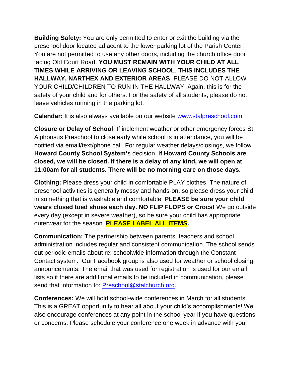**Building Safety:** You are only permitted to enter or exit the building via the preschool door located adjacent to the lower parking lot of the Parish Center. You are not permitted to use any other doors, including the church office door facing Old Court Road. **YOU MUST REMAIN WITH YOUR CHILD AT ALL TIMES WHILE ARRIVING OR LEAVING SCHOOL**. **THIS INCLUDES THE HALLWAY, NARTHEX AND EXTERIOR AREAS**. PLEASE DO NOT ALLOW YOUR CHILD/CHILDREN TO RUN IN THE HALLWAY. Again, this is for the safety of your child and for others. For the safety of all students, please do not leave vehicles running in the parking lot.

**Calendar:** It is also always available on our website [www.stalpreschool.com](http://www.stalpreschool.com/)

**Closure or Delay of School**: If inclement weather or other emergency forces St. Alphonsus Preschool to close early while school is in attendance, you will be notified via email/text/phone call. For regular weather delays/closings, we follow **Howard County School System'**s decision. I**f Howard County Schools are closed, we will be closed. If there is a delay of any kind, we will open at 11:00am for all students. There will be no morning care on those days.** 

**Clothing:** Please dress your child in comfortable PLAY clothes. The nature of preschool activities is generally messy and hands-on, so please dress your child in something that is washable and comfortable. **PLEASE be sure your child wears closed toed shoes each day. NO FLIP FLOPS or Crocs!** We go outside every day (except in severe weather), so be sure your child has appropriate outerwear for the season. **PLEASE LABEL ALL ITEMS.** 

**Communication: T**he partnership between parents, teachers and school administration includes regular and consistent communication. The school sends out periodic emails about re: schoolwide information through the Constant Contact system. Our Facebook group is also used for weather or school closing announcements. The email that was used for registration is used for our email lists so if there are additional emails to be included in communication, please send that information to: [Preschool@stalchurch.org.](mailto:Preschool@stalchurch.org)

**Conferences:** We will hold school-wide conferences in March for all students. This is a GREAT opportunity to hear all about your child's accomplishments! We also encourage conferences at any point in the school year if you have questions or concerns. Please schedule your conference one week in advance with your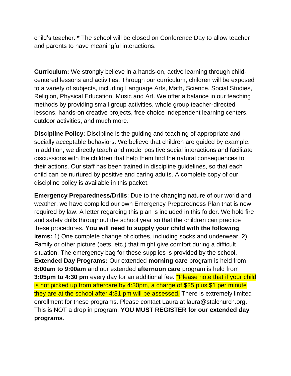child's teacher. **\*** The school will be closed on Conference Day to allow teacher and parents to have meaningful interactions.

**Curriculum:** We strongly believe in a hands-on, active learning through childcentered lessons and activities. Through our curriculum, children will be exposed to a variety of subjects, including Language Arts, Math, Science, Social Studies, Religion, Physical Education, Music and Art. We offer a balance in our teaching methods by providing small group activities, whole group teacher-directed lessons, hands-on creative projects, free choice independent learning centers, outdoor activities, and much more.

**Discipline Policy:** Discipline is the guiding and teaching of appropriate and socially acceptable behaviors. We believe that children are guided by example. In addition, we directly teach and model positive social interactions and facilitate discussions with the children that help them find the natural consequences to their actions. Our staff has been trained in discipline guidelines, so that each child can be nurtured by positive and caring adults. A complete copy of our discipline policy is available in this packet.

**Emergency Preparedness/Drills**: Due to the changing nature of our world and weather, we have compiled our own Emergency Preparedness Plan that is now required by law. A letter regarding this plan is included in this folder. We hold fire and safety drills throughout the school year so that the children can practice these procedures. **You will need to supply your child with the following items:** 1) One complete change of clothes, including socks and underwear. 2) Family or other picture (pets, etc.) that might give comfort during a difficult situation. The emergency bag for these supplies is provided by the school. **Extended Day Programs:** Our extended **morning care** program is held from **8:00am to 9:00am** and our extended **afternoon care** program is held from **3:05pm to 4:30 pm** every day for an additional fee. **\*Please note that if your child** is not picked up from aftercare by 4:30pm, a charge of \$25 plus \$1 per minute they are at the school after 4:31 pm will be assessed. There is extremely limited enrollment for these programs. Please contact Laura at laura@stalchurch.org. This is NOT a drop in program. **YOU MUST REGISTER for our extended day programs**.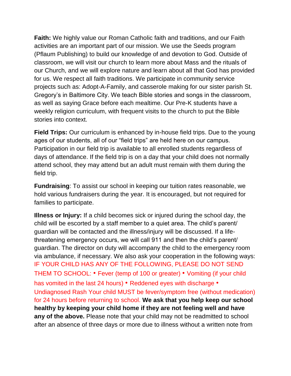**Faith:** We highly value our Roman Catholic faith and traditions, and our Faith activities are an important part of our mission. We use the Seeds program (Pflaum Publishing) to build our knowledge of and devotion to God. Outside of classroom, we will visit our church to learn more about Mass and the rituals of our Church, and we will explore nature and learn about all that God has provided for us. We respect all faith traditions. We participate in community service projects such as: Adopt-A-Family, and casserole making for our sister parish St. Gregory's in Baltimore City. We teach Bible stories and songs in the classroom, as well as saying Grace before each mealtime. Our Pre-K students have a weekly religion curriculum, with frequent visits to the church to put the Bible stories into context.

**Field Trips:** Our curriculum is enhanced by in-house field trips. Due to the young ages of our students, all of our "field trips" are held here on our campus. Participation in our field trip is available to all enrolled students regardless of days of attendance. If the field trip is on a day that your child does not normally attend school, they may attend but an adult must remain with them during the field trip.

**Fundraising**: To assist our school in keeping our tuition rates reasonable, we hold various fundraisers during the year. It is encouraged, but not required for families to participate.

**Illness or Injury:** If a child becomes sick or injured during the school day, the child will be escorted by a staff member to a quiet area. The child's parent/ guardian will be contacted and the illness/injury will be discussed. If a lifethreatening emergency occurs, we will call 911 and then the child's parent/ guardian. The director on duty will accompany the child to the emergency room via ambulance, if necessary. We also ask your cooperation in the following ways: IF YOUR CHILD HAS ANY OF THE FOLLOWING, PLEASE DO NOT SEND THEM TO SCHOOL: • Fever (temp of 100 or greater) • Vomiting (if your child has vomited in the last 24 hours) • Reddened eyes with discharge • Undiagnosed Rash Your child MUST be fever/symptom free (without medication) for 24 hours before returning to school. **We ask that you help keep our school healthy by keeping your child home if they are not feeling well and have any of the above.** Please note that your child may not be readmitted to school after an absence of three days or more due to illness without a written note from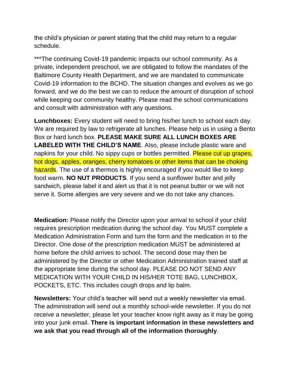the child's physician or parent stating that the child may return to a regular schedule.

\*\*\*The continuing Covid-19 pandemic impacts our school community. As a private, independent preschool, we are obligated to follow the mandates of the Baltimore County Health Department, and we are mandated to communicate Covid-19 information to the BCHD. The situation changes and evolves as we go forward, and we do the best we can to reduce the amount of disruption of school while keeping our community healthy. Please read the school communications and consult with administration with any questions.

**Lunchboxes:** Every student will need to bring his/her lunch to school each day. We are required by law to refrigerate all lunches. Please help us in using a Bento Box or hard lunch box. **PLEASE MAKE SURE ALL LUNCH BOXES ARE LABELED WITH THE CHILD'S NAME**. Also, please include plastic ware and napkins for your child. No sippy cups or bottles permitted. Please cut up grapes, hot dogs, apples, oranges, cherry tomatoes or other items that can be choking hazards. The use of a thermos is highly encouraged if you would like to keep food warm. **NO NUT PRODUCTS**. If you send a sunflower butter and jelly sandwich, please label it and alert us that it is not peanut butter or we will not serve it. Some allergies are very severe and we do not take any chances.

**Medication:** Please notify the Director upon your arrival to school if your child requires prescription medication during the school day. You MUST complete a Medication Administration Form and turn the form and the medication in to the Director. One dose of the prescription medication MUST be administered at home before the child arrives to school. The second dose may then be administered by the Director or other Medication Administration trained staff at the appropriate time during the school day. PLEASE DO NOT SEND ANY MEDICATION WITH YOUR CHILD IN HIS/HER TOTE BAG, LUNCHBOX, POCKETS, ETC. This includes cough drops and lip balm.

**Newsletters:** Your child's teacher will send out a weekly newsletter via email. The administration will send out a monthly school-wide newsletter. If you do not receive a newsletter, please let your teacher know right away as it may be going into your junk email. **There is important information in these newsletters and we ask that you read through all of the information thoroughly**.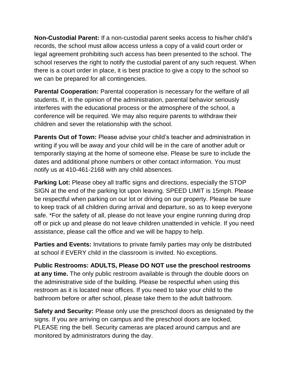**Non-Custodial Parent:** If a non-custodial parent seeks access to his/her child's records, the school must allow access unless a copy of a valid court order or legal agreement prohibiting such access has been presented to the school. The school reserves the right to notify the custodial parent of any such request. When there is a court order in place, it is best practice to give a copy to the school so we can be prepared for all contingencies.

**Parental Cooperation:** Parental cooperation is necessary for the welfare of all students. If, in the opinion of the administration, parental behavior seriously interferes with the educational process or the atmosphere of the school, a conference will be required. We may also require parents to withdraw their children and sever the relationship with the school.

**Parents Out of Town:** Please advise your child's teacher and administration in writing if you will be away and your child will be in the care of another adult or temporarily staying at the home of someone else. Please be sure to include the dates and additional phone numbers or other contact information. You must notify us at 410-461-2168 with any child absences.

**Parking Lot:** Please obey all traffic signs and directions, especially the STOP SIGN at the end of the parking lot upon leaving. SPEED LIMIT is 15mph. Please be respectful when parking on our lot or driving on our property. Please be sure to keep track of all children during arrival and departure, so as to keep everyone safe. \*For the safety of all, please do not leave your engine running during drop off or pick up and please do not leave children unattended in vehicle. If you need assistance, please call the office and we will be happy to help.

**Parties and Events:** Invitations to private family parties may only be distributed at school if EVERY child in the classroom is invited. No exceptions.

**Public Restrooms: ADULTS, Please DO NOT use the preschool restrooms at any time.** The only public restroom available is through the double doors on the administrative side of the building. Please be respectful when using this restroom as it is located near offices. If you need to take your child to the bathroom before or after school, please take them to the adult bathroom.

**Safety and Security:** Please only use the preschool doors as designated by the signs. If you are arriving on campus and the preschool doors are locked, PLEASE ring the bell. Security cameras are placed around campus and are monitored by administrators during the day.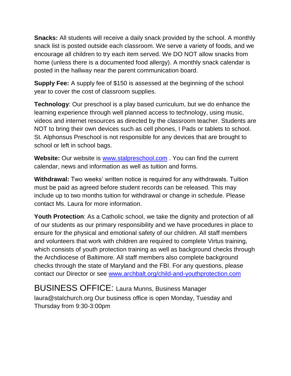**Snacks:** All students will receive a daily snack provided by the school. A monthly snack list is posted outside each classroom. We serve a variety of foods, and we encourage all children to try each item served. We DO NOT allow snacks from home (unless there is a documented food allergy). A monthly snack calendar is posted in the hallway near the parent communication board.

**Supply Fee:** A supply fee of \$150 is assessed at the beginning of the school year to cover the cost of classroom supplies.

**Technology**: Our preschool is a play based curriculum, but we do enhance the learning experience through well planned access to technology, using music, videos and internet resources as directed by the classroom teacher. Students are NOT to bring their own devices such as cell phones, I Pads or tablets to school. St. Alphonsus Preschool is not responsible for any devices that are brought to school or left in school bags.

**Website:** Our website is [www.stalpreschool.com](http://www.stalpreschool.com/) . You can find the current calendar, news and information as well as tuition and forms.

**Withdrawal:** Two weeks' written notice is required for any withdrawals. Tuition must be paid as agreed before student records can be released. This may include up to two months tuition for withdrawal or change in schedule. Please contact Ms. Laura for more information.

**Youth Protection**: As a Catholic school, we take the dignity and protection of all of our students as our primary responsibility and we have procedures in place to ensure for the physical and emotional safety of our children. All staff members and volunteers that work with children are required to complete Virtus training, which consists of youth protection training as well as background checks through the Archdiocese of Baltimore. All staff members also complete background checks through the state of Maryland and the FBI. For any questions, please contact our Director or see [www.archbalt.org/child-and-youthprotection.com](http://www.archbalt.org/child-and-youthprotection.com)

BUSINESS OFFICE: Laura Munns, Business Manager laura@stalchurch.org Our business office is open Monday, Tuesday and Thursday from 9:30-3:00pm